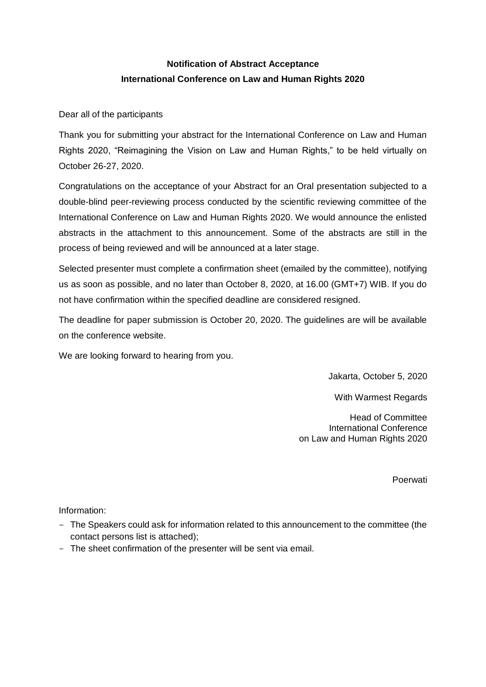## **Notification of Abstract Acceptance International Conference on Law and Human Rights 2020**

Dear all of the participants

Thank you for submitting your abstract for the International Conference on Law and Human Rights 2020, "Reimagining the Vision on Law and Human Rights," to be held virtually on October 26-27, 2020.

Congratulations on the acceptance of your Abstract for an Oral presentation subjected to a double-blind peer-reviewing process conducted by the scientific reviewing committee of the International Conference on Law and Human Rights 2020. We would announce the enlisted abstracts in the attachment to this announcement. Some of the abstracts are still in the process of being reviewed and will be announced at a later stage.

Selected presenter must complete a confirmation sheet (emailed by the committee), notifying us as soon as possible, and no later than October 8, 2020, at 16.00 (GMT+7) WIB. If you do not have confirmation within the specified deadline are considered resigned.

The deadline for paper submission is October 20, 2020. The guidelines are will be available on the conference website.

We are looking forward to hearing from you.

Jakarta, October 5, 2020

With Warmest Regards

Head of Committee International Conference on Law and Human Rights 2020

Poerwati

Information:

- The Speakers could ask for information related to this announcement to the committee (the contact persons list is attached);
- The sheet confirmation of the presenter will be sent via email.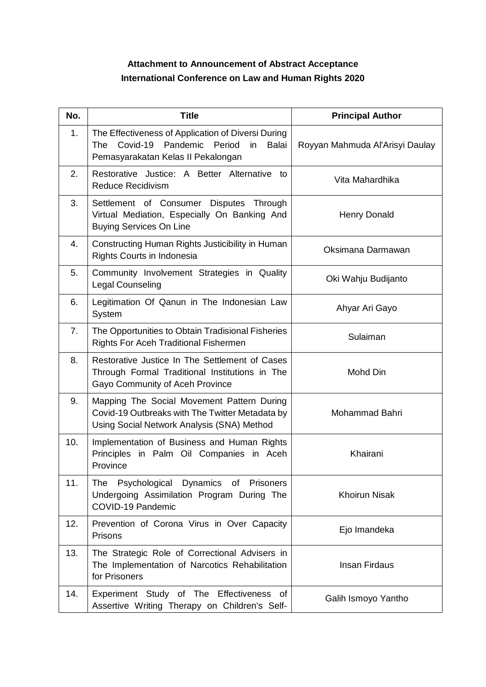## **Attachment to Announcement of Abstract Acceptance International Conference on Law and Human Rights 2020**

| No.            | <b>Title</b>                                                                                                                                | <b>Principal Author</b>         |
|----------------|---------------------------------------------------------------------------------------------------------------------------------------------|---------------------------------|
| 1.             | The Effectiveness of Application of Diversi During<br>The Covid-19 Pandemic Period<br>in<br>Balai<br>Pemasyarakatan Kelas II Pekalongan     | Royyan Mahmuda Al'Arisyi Daulay |
| 2.             | Restorative Justice: A Better Alternative to<br><b>Reduce Recidivism</b>                                                                    | Vita Mahardhika                 |
| 3.             | Settlement of Consumer Disputes Through<br>Virtual Mediation, Especially On Banking And<br><b>Buying Services On Line</b>                   | <b>Henry Donald</b>             |
| 4.             | Constructing Human Rights Justicibility in Human<br>Rights Courts in Indonesia                                                              | Oksimana Darmawan               |
| 5.             | Community Involvement Strategies in Quality<br>Legal Counseling                                                                             | Oki Wahju Budijanto             |
| 6.             | Legitimation Of Qanun in The Indonesian Law<br>System                                                                                       | Ahyar Ari Gayo                  |
| 7 <sub>1</sub> | The Opportunities to Obtain Tradisional Fisheries<br>Rights For Aceh Traditional Fishermen                                                  | Sulaiman                        |
| 8.             | Restorative Justice In The Settlement of Cases<br>Through Formal Traditional Institutions in The<br>Gayo Community of Aceh Province         | Mohd Din                        |
| 9.             | Mapping The Social Movement Pattern During<br>Covid-19 Outbreaks with The Twitter Metadata by<br>Using Social Network Analysis (SNA) Method | Mohammad Bahri                  |
| 10.            | Implementation of Business and Human Rights<br>Principles in Palm Oil Companies in Aceh<br>Province                                         | Khairani                        |
| 11.            | The Psychological Dynamics of Prisoners<br>Undergoing Assimilation Program During The<br>COVID-19 Pandemic                                  | <b>Khoirun Nisak</b>            |
| 12.            | Prevention of Corona Virus in Over Capacity<br><b>Prisons</b>                                                                               | Ejo Imandeka                    |
| 13.            | The Strategic Role of Correctional Advisers in<br>The Implementation of Narcotics Rehabilitation<br>for Prisoners                           | <b>Insan Firdaus</b>            |
| 14.            | Experiment Study of The Effectiveness of<br>Assertive Writing Therapy on Children's Self-                                                   | Galih Ismoyo Yantho             |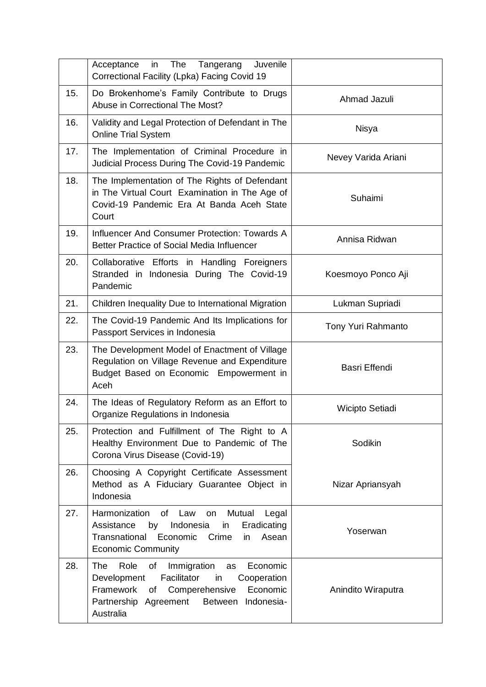|     | The Tangerang<br>Juvenile<br>Acceptance<br>in<br>Correctional Facility (Lpka) Facing Covid 19                                                                                                                            |                     |
|-----|--------------------------------------------------------------------------------------------------------------------------------------------------------------------------------------------------------------------------|---------------------|
| 15. | Do Brokenhome's Family Contribute to Drugs<br>Abuse in Correctional The Most?                                                                                                                                            | Ahmad Jazuli        |
| 16. | Validity and Legal Protection of Defendant in The<br><b>Online Trial System</b>                                                                                                                                          | Nisya               |
| 17. | The Implementation of Criminal Procedure in<br>Judicial Process During The Covid-19 Pandemic                                                                                                                             | Nevey Varida Ariani |
| 18. | The Implementation of The Rights of Defendant<br>in The Virtual Court Examination in The Age of<br>Covid-19 Pandemic Era At Banda Aceh State<br>Court                                                                    | Suhaimi             |
| 19. | Influencer And Consumer Protection: Towards A<br>Better Practice of Social Media Influencer                                                                                                                              | Annisa Ridwan       |
| 20. | Collaborative Efforts in Handling Foreigners<br>Stranded in Indonesia During The Covid-19<br>Pandemic                                                                                                                    | Koesmoyo Ponco Aji  |
| 21. | Children Inequality Due to International Migration                                                                                                                                                                       | Lukman Supriadi     |
| 22. | The Covid-19 Pandemic And Its Implications for<br>Passport Services in Indonesia                                                                                                                                         | Tony Yuri Rahmanto  |
| 23. | The Development Model of Enactment of Village<br>Regulation on Village Revenue and Expenditure<br>Budget Based on Economic Empowerment in<br>Aceh                                                                        | Basri Effendi       |
| 24. | The Ideas of Regulatory Reform as an Effort to<br>Organize Regulations in Indonesia                                                                                                                                      | Wicipto Setiadi     |
| 25. | Protection and Fulfillment of The Right to A<br>Healthy Environment Due to Pandemic of The<br>Corona Virus Disease (Covid-19)                                                                                            | Sodikin             |
| 26. | Choosing A Copyright Certificate Assessment<br>Method as A Fiduciary Guarantee Object in<br>Indonesia                                                                                                                    | Nizar Apriansyah    |
| 27. | Harmonization<br>of Law<br>Legal<br>Mutual<br>on<br>Indonesia<br>Assistance<br>Eradicating<br>by<br>in<br>Economic<br>Transnational<br>Asean<br>Crime<br>in<br><b>Economic Community</b>                                 | Yoserwan            |
| 28. | The<br>Immigration<br>Economic<br>Role<br>of<br>as<br>Facilitator<br>Cooperation<br>Development<br>in<br>Framework<br>Comperehensive<br>Economic<br>of<br>Indonesia-<br>Partnership<br>Agreement<br>Between<br>Australia | Anindito Wiraputra  |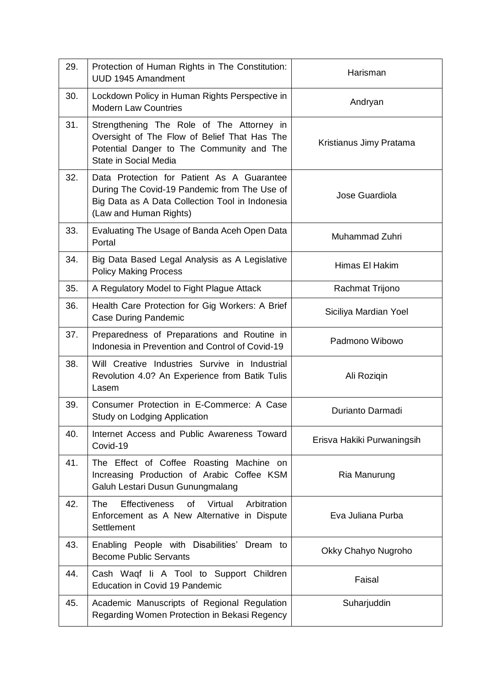| 29. | Protection of Human Rights in The Constitution:<br><b>UUD 1945 Amandment</b>                                                                                            | Harisman                   |
|-----|-------------------------------------------------------------------------------------------------------------------------------------------------------------------------|----------------------------|
| 30. | Lockdown Policy in Human Rights Perspective in<br><b>Modern Law Countries</b>                                                                                           | Andryan                    |
| 31. | Strengthening The Role of The Attorney in<br>Oversight of The Flow of Belief That Has The<br>Potential Danger to The Community and The<br>State in Social Media         | Kristianus Jimy Pratama    |
| 32. | Data Protection for Patient As A Guarantee<br>During The Covid-19 Pandemic from The Use of<br>Big Data as A Data Collection Tool in Indonesia<br>(Law and Human Rights) | Jose Guardiola             |
| 33. | Evaluating The Usage of Banda Aceh Open Data<br>Portal                                                                                                                  | Muhammad Zuhri             |
| 34. | Big Data Based Legal Analysis as A Legislative<br><b>Policy Making Process</b>                                                                                          | Himas El Hakim             |
| 35. | A Regulatory Model to Fight Plague Attack                                                                                                                               | Rachmat Trijono            |
| 36. | Health Care Protection for Gig Workers: A Brief<br><b>Case During Pandemic</b>                                                                                          | Siciliya Mardian Yoel      |
| 37. | Preparedness of Preparations and Routine in<br>Indonesia in Prevention and Control of Covid-19                                                                          | Padmono Wibowo             |
| 38. | Will Creative Industries Survive in Industrial<br>Revolution 4.0? An Experience from Batik Tulis<br>Lasem                                                               | Ali Roziqin                |
| 39. | Consumer Protection in E-Commerce: A Case<br><b>Study on Lodging Application</b>                                                                                        | Durianto Darmadi           |
| 40. | Internet Access and Public Awareness Toward<br>Covid-19                                                                                                                 | Erisva Hakiki Purwaningsih |
| 41. | The Effect of Coffee Roasting Machine on<br>Increasing Production of Arabic Coffee KSM<br>Galuh Lestari Dusun Gunungmalang                                              | Ria Manurung               |
| 42. | <b>The</b><br>Effectiveness<br>of Virtual<br>Arbitration<br>Enforcement as A New Alternative in Dispute<br>Settlement                                                   | Eva Juliana Purba          |
| 43. | Enabling People with Disabilities' Dream to<br><b>Become Public Servants</b>                                                                                            | Okky Chahyo Nugroho        |
| 44. | Cash Waqf Ii A Tool to Support Children<br>Education in Covid 19 Pandemic                                                                                               | Faisal                     |
| 45. | Academic Manuscripts of Regional Regulation<br>Regarding Women Protection in Bekasi Regency                                                                             | Suharjuddin                |